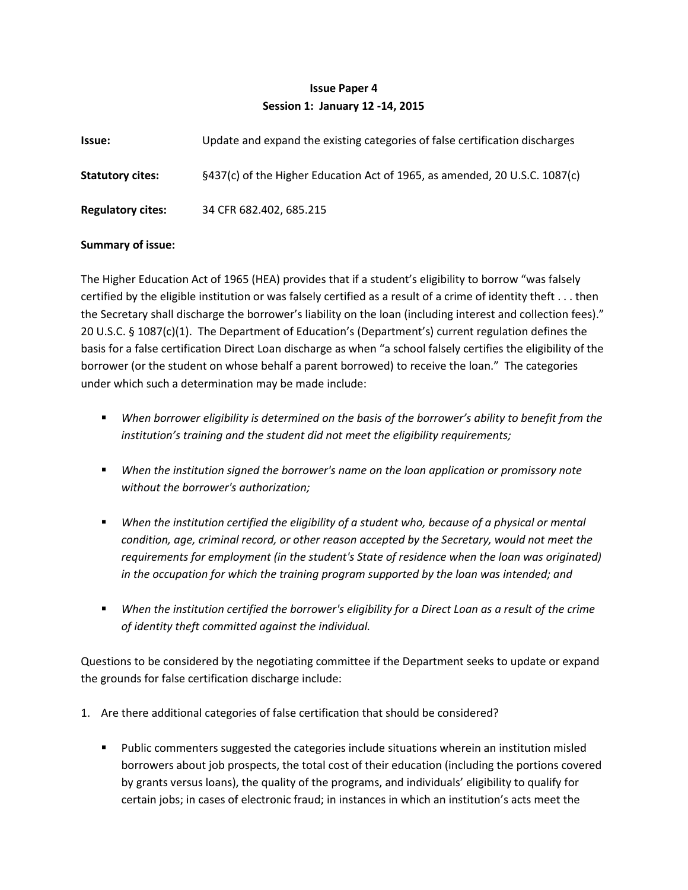## **Issue Paper 4 Session 1: January 12 -14, 2015**

| Issue:                   | Update and expand the existing categories of false certification discharges |
|--------------------------|-----------------------------------------------------------------------------|
| <b>Statutory cites:</b>  | §437(c) of the Higher Education Act of 1965, as amended, 20 U.S.C. 1087(c)  |
| <b>Regulatory cites:</b> | 34 CFR 682.402, 685.215                                                     |

## **Summary of issue:**

The Higher Education Act of 1965 (HEA) provides that if a student's eligibility to borrow "was falsely certified by the eligible institution or was falsely certified as a result of a crime of identity theft . . . then the Secretary shall discharge the borrower's liability on the loan (including interest and collection fees)." 20 U.S.C. § 1087(c)(1). The Department of Education's (Department's) current regulation defines the basis for a false certification Direct Loan discharge as when "a school falsely certifies the eligibility of the borrower (or the student on whose behalf a parent borrowed) to receive the loan." The categories under which such a determination may be made include:

- *When borrower eligibility is determined on the basis of the borrower's ability to benefit from the institution's training and the student did not meet the eligibility requirements;*
- *When the institution signed the borrower's name on the loan application or promissory note without the borrower's authorization;*
- **•** When the institution certified the eligibility of a student who, because of a physical or mental *condition, age, criminal record, or other reason accepted by the Secretary, would not meet the requirements for employment (in the student's State of residence when the loan was originated) in the occupation for which the training program supported by the loan was intended; and*
- **•** When the institution certified the borrower's eligibility for a Direct Loan as a result of the crime *of identity theft committed against the individual.*

Questions to be considered by the negotiating committee if the Department seeks to update or expand the grounds for false certification discharge include:

- 1. Are there additional categories of false certification that should be considered?
	- **Public commenters suggested the categories include situations wherein an institution misled** borrowers about job prospects, the total cost of their education (including the portions covered by grants versus loans), the quality of the programs, and individuals' eligibility to qualify for certain jobs; in cases of electronic fraud; in instances in which an institution's acts meet the